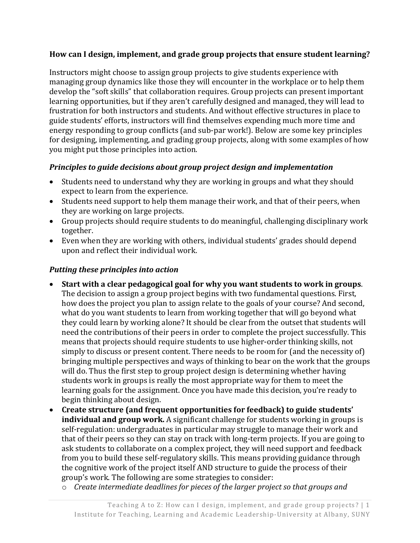### **How can I design, implement, and grade group projects that ensure student learning?**

Instructors might choose to assign group projects to give students experience with managing group dynamics like those they will encounter in the workplace or to help them develop the "soft skills" that collaboration requires. Group projects can present important learning opportunities, but if they aren't carefully designed and managed, they will lead to frustration for both instructors and students. And without effective structures in place to guide students' efforts, instructors will find themselves expending much more time and energy responding to group conflicts (and sub-par work!). Below are some key principles for designing, implementing, and grading group projects, along with some examples of how you might put those principles into action.

### *Principles to guide decisions about group project design and implementation*

- Students need to understand why they are working in groups and what they should expect to learn from the experience.
- Students need support to help them manage their work, and that of their peers, when they are working on large projects.
- Group projects should require students to do meaningful, challenging disciplinary work together.
- Even when they are working with others, individual students' grades should depend upon and reflect their individual work.

#### *Putting these principles into action*

- **Start with a clear pedagogical goal for why you want students to work in groups**. The decision to assign a group project begins with two fundamental questions. First, how does the project you plan to assign relate to the goals of your course? And second, what do you want students to learn from working together that will go beyond what they could learn by working alone? It should be clear from the outset that students will need the contributions of their peers in order to complete the project successfully. This means that projects should require students to use higher-order thinking skills, not simply to discuss or present content. There needs to be room for (and the necessity of) bringing multiple perspectives and ways of thinking to bear on the work that the groups will do. Thus the first step to group project design is determining whether having students work in groups is really the most appropriate way for them to meet the learning goals for the assignment. Once you have made this decision, you're ready to begin thinking about design.
- **Create structure (and frequent opportunities for feedback) to guide students' individual and group work.** A significant challenge for students working in groups is self-regulation: undergraduates in particular may struggle to manage their work and that of their peers so they can stay on track with long-term projects. If you are going to ask students to collaborate on a complex project, they will need support and feedback from you to build these self-regulatory skills. This means providing guidance through the cognitive work of the project itself AND structure to guide the process of their group's work. The following are some strategies to consider:
	- o *Create intermediate deadlines for pieces of the larger project so that groups and*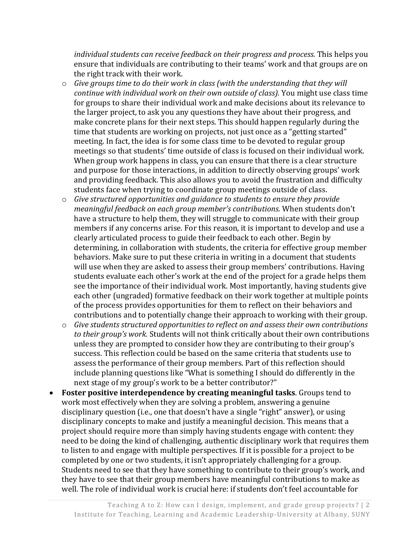*individual students can receive feedback on their progress and process.* This helps you ensure that individuals are contributing to their teams' work and that groups are on the right track with their work.

- o *Give groups time to do their work in class (with the understanding that they will continue with individual work on their own outside of class).* You might use class time for groups to share their individual work and make decisions about its relevance to the larger project, to ask you any questions they have about their progress, and make concrete plans for their next steps. This should happen regularly during the time that students are working on projects, not just once as a "getting started" meeting. In fact, the idea is for some class time to be devoted to regular group meetings so that students' time outside of class is focused on their individual work. When group work happens in class, you can ensure that there is a clear structure and purpose for those interactions, in addition to directly observing groups' work and providing feedback. This also allows you to avoid the frustration and difficulty students face when trying to coordinate group meetings outside of class.
- o *Give structured opportunities and guidance to students to ensure they provide meaningful feedback on each group member's contributions.* When students don't have a structure to help them, they will struggle to communicate with their group members if any concerns arise. For this reason, it is important to develop and use a clearly articulated process to guide their feedback to each other. Begin by determining, in collaboration with students, the criteria for effective group member behaviors. Make sure to put these criteria in writing in a document that students will use when they are asked to assess their group members' contributions. Having students evaluate each other's work at the end of the project for a grade helps them see the importance of their individual work. Most importantly, having students give each other (ungraded) formative feedback on their work together at multiple points of the process provides opportunities for them to reflect on their behaviors and contributions and to potentially change their approach to working with their group.
- o *Give students structured opportunities to reflect on and assess their own contributions to their group's work.* Students will not think critically about their own contributions unless they are prompted to consider how they are contributing to their group's success. This reflection could be based on the same criteria that students use to assess the performance of their group members. Part of this reflection should include planning questions like "What is something I should do differently in the next stage of my group's work to be a better contributor?"
- **Foster positive interdependence by creating meaningful tasks**. Groups tend to work most effectively when they are solving a problem, answering a genuine disciplinary question (i.e., one that doesn't have a single "right" answer), or using disciplinary concepts to make and justify a meaningful decision. This means that a project should require more than simply having students engage with content: they need to be doing the kind of challenging, authentic disciplinary work that requires them to listen to and engage with multiple perspectives. If it is possible for a project to be completed by one or two students, it isn't appropriately challenging for a group. Students need to see that they have something to contribute to their group's work, and they have to see that their group members have meaningful contributions to make as well. The role of individual work is crucial here: if students don't feel accountable for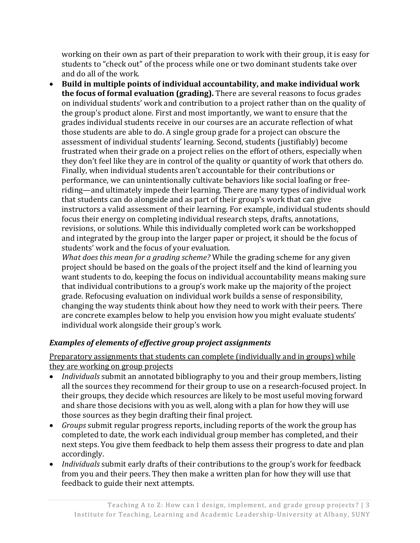working on their own as part of their preparation to work with their group, it is easy for students to "check out" of the process while one or two dominant students take over and do all of the work.

• **Build in multiple points of individual accountability, and make individual work the focus of formal evaluation (grading).** There are several reasons to focus grades on individual students' work and contribution to a project rather than on the quality of the group's product alone. First and most importantly, we want to ensure that the grades individual students receive in our courses are an accurate reflection of what those students are able to do. A single group grade for a project can obscure the assessment of individual students' learning. Second, students (justifiably) become frustrated when their grade on a project relies on the effort of others, especially when they don't feel like they are in control of the quality or quantity of work that others do. Finally, when individual students aren't accountable for their contributions or performance, we can unintentionally cultivate behaviors like social loafing or freeriding—and ultimately impede their learning. There are many types of individual work that students can do alongside and as part of their group's work that can give instructors a valid assessment of their learning. For example, individual students should focus their energy on completing individual research steps, drafts, annotations, revisions, or solutions. While this individually completed work can be workshopped and integrated by the group into the larger paper or project, it should be the focus of students' work and the focus of your evaluation.

*What does this mean for a grading scheme?* While the grading scheme for any given project should be based on the goals of the project itself and the kind of learning you want students to do, keeping the focus on individual accountability means making sure that individual contributions to a group's work make up the majority of the project grade. Refocusing evaluation on individual work builds a sense of responsibility, changing the way students think about how they need to work with their peers. There are concrete examples below to help you envision how you might evaluate students' individual work alongside their group's work.

# *Examples of elements of effective group project assignments*

Preparatory assignments that students can complete (individually and in groups) while they are working on group projects

- *Individuals* submit an annotated bibliography to you and their group members, listing all the sources they recommend for their group to use on a research-focused project. In their groups, they decide which resources are likely to be most useful moving forward and share those decisions with you as well, along with a plan for how they will use those sources as they begin drafting their final project.
- *Groups* submit regular progress reports, including reports of the work the group has completed to date, the work each individual group member has completed, and their next steps. You give them feedback to help them assess their progress to date and plan accordingly.
- *Individuals* submit early drafts of their contributions to the group's work for feedback from you and their peers. They then make a written plan for how they will use that feedback to guide their next attempts.